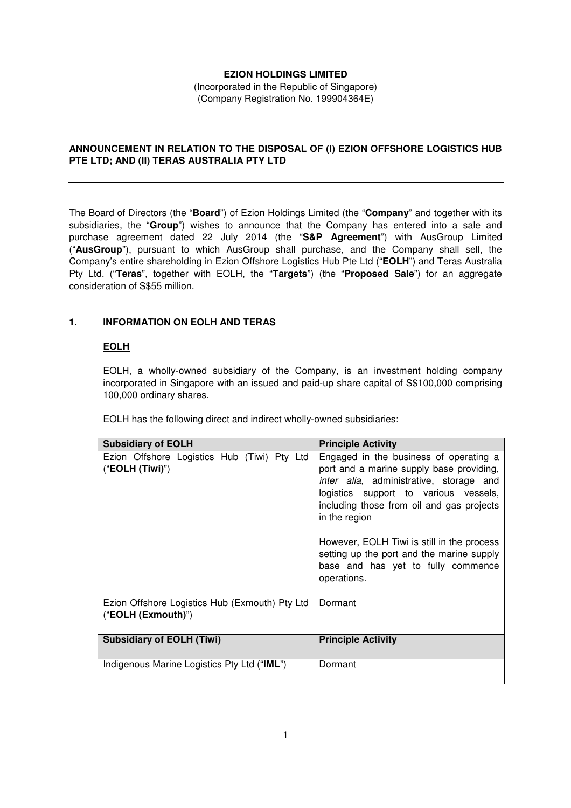# **EZION HOLDINGS LIMITED**

(Incorporated in the Republic of Singapore) (Company Registration No. 199904364E)

# **ANNOUNCEMENT IN RELATION TO THE DISPOSAL OF (I) EZION OFFSHORE LOGISTICS HUB PTE LTD; AND (II) TERAS AUSTRALIA PTY LTD**

The Board of Directors (the "**Board**") of Ezion Holdings Limited (the "**Company**" and together with its subsidiaries, the "**Group**") wishes to announce that the Company has entered into a sale and purchase agreement dated 22 July 2014 (the "**S&P Agreement**") with AusGroup Limited ("**AusGroup**"), pursuant to which AusGroup shall purchase, and the Company shall sell, the Company's entire shareholding in Ezion Offshore Logistics Hub Pte Ltd ("**EOLH**") and Teras Australia Pty Ltd. ("**Teras**", together with EOLH, the "**Targets**") (the "**Proposed Sale**") for an aggregate consideration of S\$55 million.

# **1. INFORMATION ON EOLH AND TERAS**

# **EOLH**

EOLH, a wholly-owned subsidiary of the Company, is an investment holding company incorporated in Singapore with an issued and paid-up share capital of S\$100,000 comprising 100,000 ordinary shares.

EOLH has the following direct and indirect wholly-owned subsidiaries:

| <b>Subsidiary of EOLH</b>                                            | <b>Principle Activity</b>                                                                                                                                                                                                                                                                                                                                                                    |
|----------------------------------------------------------------------|----------------------------------------------------------------------------------------------------------------------------------------------------------------------------------------------------------------------------------------------------------------------------------------------------------------------------------------------------------------------------------------------|
| Ezion Offshore Logistics Hub (Tiwi) Pty Ltd<br>("EOLH (Tiwi)")       | Engaged in the business of operating a<br>port and a marine supply base providing,<br><i>inter alia</i> , administrative, storage and<br>logistics support to various vessels,<br>including those from oil and gas projects<br>in the region<br>However, EOLH Tiwi is still in the process<br>setting up the port and the marine supply<br>base and has yet to fully commence<br>operations. |
| Ezion Offshore Logistics Hub (Exmouth) Pty Ltd<br>("EOLH (Exmouth)") | Dormant                                                                                                                                                                                                                                                                                                                                                                                      |
| <b>Subsidiary of EOLH (Tiwi)</b>                                     | <b>Principle Activity</b>                                                                                                                                                                                                                                                                                                                                                                    |
| Indigenous Marine Logistics Pty Ltd ("IML")                          | Dormant                                                                                                                                                                                                                                                                                                                                                                                      |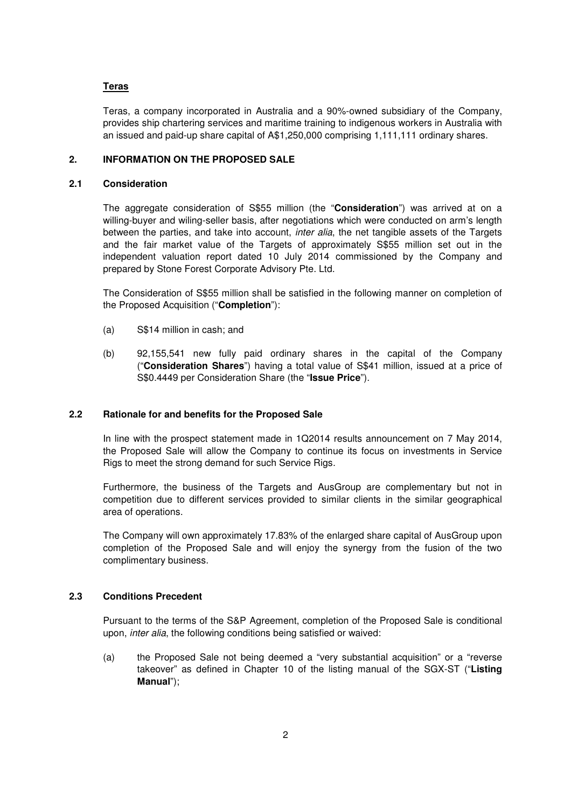#### **Teras**

Teras, a company incorporated in Australia and a 90%-owned subsidiary of the Company, provides ship chartering services and maritime training to indigenous workers in Australia with an issued and paid-up share capital of A\$1,250,000 comprising 1,111,111 ordinary shares.

#### **2. INFORMATION ON THE PROPOSED SALE**

#### **2.1 Consideration**

The aggregate consideration of S\$55 million (the "**Consideration**") was arrived at on a willing-buyer and wiling-seller basis, after negotiations which were conducted on arm's length between the parties, and take into account, *inter alia*, the net tangible assets of the Targets and the fair market value of the Targets of approximately S\$55 million set out in the independent valuation report dated 10 July 2014 commissioned by the Company and prepared by Stone Forest Corporate Advisory Pte. Ltd.

The Consideration of S\$55 million shall be satisfied in the following manner on completion of the Proposed Acquisition ("**Completion**"):

- (a) S\$14 million in cash; and
- (b) 92,155,541 new fully paid ordinary shares in the capital of the Company ("**Consideration Shares**") having a total value of S\$41 million, issued at a price of S\$0.4449 per Consideration Share (the "**Issue Price**").

#### **2.2 Rationale for and benefits for the Proposed Sale**

In line with the prospect statement made in 1Q2014 results announcement on 7 May 2014, the Proposed Sale will allow the Company to continue its focus on investments in Service Rigs to meet the strong demand for such Service Rigs.

Furthermore, the business of the Targets and AusGroup are complementary but not in competition due to different services provided to similar clients in the similar geographical area of operations.

The Company will own approximately 17.83% of the enlarged share capital of AusGroup upon completion of the Proposed Sale and will enjoy the synergy from the fusion of the two complimentary business.

#### **2.3 Conditions Precedent**

Pursuant to the terms of the S&P Agreement, completion of the Proposed Sale is conditional upon, inter alia, the following conditions being satisfied or waived:

(a) the Proposed Sale not being deemed a "very substantial acquisition" or a "reverse takeover" as defined in Chapter 10 of the listing manual of the SGX-ST ("**Listing Manual**");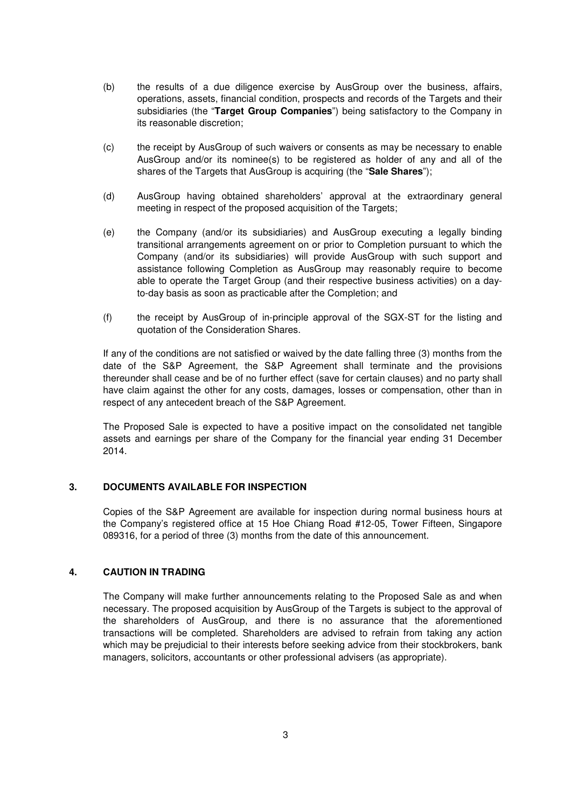- (b) the results of a due diligence exercise by AusGroup over the business, affairs, operations, assets, financial condition, prospects and records of the Targets and their subsidiaries (the "**Target Group Companies**") being satisfactory to the Company in its reasonable discretion;
- (c) the receipt by AusGroup of such waivers or consents as may be necessary to enable AusGroup and/or its nominee(s) to be registered as holder of any and all of the shares of the Targets that AusGroup is acquiring (the "**Sale Shares**");
- (d) AusGroup having obtained shareholders' approval at the extraordinary general meeting in respect of the proposed acquisition of the Targets;
- (e) the Company (and/or its subsidiaries) and AusGroup executing a legally binding transitional arrangements agreement on or prior to Completion pursuant to which the Company (and/or its subsidiaries) will provide AusGroup with such support and assistance following Completion as AusGroup may reasonably require to become able to operate the Target Group (and their respective business activities) on a dayto-day basis as soon as practicable after the Completion; and
- (f) the receipt by AusGroup of in-principle approval of the SGX-ST for the listing and quotation of the Consideration Shares.

If any of the conditions are not satisfied or waived by the date falling three (3) months from the date of the S&P Agreement, the S&P Agreement shall terminate and the provisions thereunder shall cease and be of no further effect (save for certain clauses) and no party shall have claim against the other for any costs, damages, losses or compensation, other than in respect of any antecedent breach of the S&P Agreement.

The Proposed Sale is expected to have a positive impact on the consolidated net tangible assets and earnings per share of the Company for the financial year ending 31 December 2014.

### **3. DOCUMENTS AVAILABLE FOR INSPECTION**

Copies of the S&P Agreement are available for inspection during normal business hours at the Company's registered office at 15 Hoe Chiang Road #12-05, Tower Fifteen, Singapore 089316, for a period of three (3) months from the date of this announcement.

### **4. CAUTION IN TRADING**

The Company will make further announcements relating to the Proposed Sale as and when necessary. The proposed acquisition by AusGroup of the Targets is subject to the approval of the shareholders of AusGroup, and there is no assurance that the aforementioned transactions will be completed. Shareholders are advised to refrain from taking any action which may be prejudicial to their interests before seeking advice from their stockbrokers, bank managers, solicitors, accountants or other professional advisers (as appropriate).